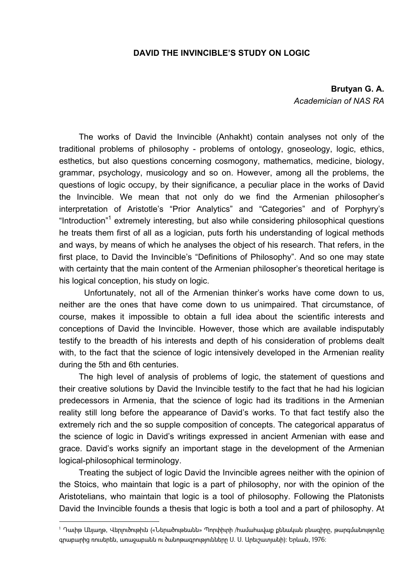## **DAVID THE INVINCIBLE'S STUDY ON LOGIC**

**Brutyan G. A.**  *Academician of NAS RA*

The works of David the Invincible (Anhakht) contain analyses not only of the traditional problems of philosophy - problems of ontology, gnoseology, logic, ethics, esthetics, but also questions concerning cosmogony, mathematics, medicine, biology, grammar, psychology, musicology and so on. However, among all the problems, the questions of logic occupy, by their significance, a peculiar place in the works of David the Invincible. We mean that not only do we find the Armenian philosopher's interpretation of Aristotle's "Prior Analytics" and "Categories" and of Porphyry's "Introduction"<sup>1</sup> extremely interesting, but also while considering philosophical questions he treats them first of all as a logician, puts forth his understanding of logical methods and ways, by means of which he analyses the object of his research. That refers, in the first place, to David the Invincible's "Definitions of Philosophy". And so one may state with certainty that the main content of the Armenian philosopher's theoretical heritage is his logical conception, his study on logic.

 Unfortunately, not all of the Armenian thinker's works have come down to us, neither are the ones that have come down to us unimpaired. That circumstance, of course, makes it impossible to obtain a full idea about the scientific interests and conceptions of David the Invincible. However, those which are available indisputably testify to the breadth of his interests and depth of his consideration of problems dealt with, to the fact that the science of logic intensively developed in the Armenian reality during the 5th and 6th centuries.

The high level of analysis of problems of logic, the statement of questions and their creative solutions by David the Invincible testify to the fact that he had his logician predecessors in Armenia, that the science of logic had its traditions in the Armenian reality still long before the appearance of David's works. To that fact testify also the extremely rich and the so supple composition of concepts. The categorical apparatus of the science of logic in David's writings expressed in ancient Armenian with ease and grace. David's works signify an important stage in the development of the Armenian logical-philosophical terminology.

Treating the subject of logic David the Invincible agrees neither with the opinion of the Stoics, who maintain that logic is a part of philosophy, nor with the opinion of the Aristotelians, who maintain that logic is a tool of philosophy. Following the Platonists David the Invincible founds a thesis that logic is both a tool and a part of philosophy. At

<sup>1</sup> Դաւիթ Անյաղթ, Վերլուծութիւն («Ներածութեանն» Պորփիւրի /համահավաք քննական բնագիրը, թարգմանությունը գրաբարից ռուսերեն, առաջաբանն ու ծանոթագրությունները Ս. Ս. Արեւշատյանի): Երևան, 1976: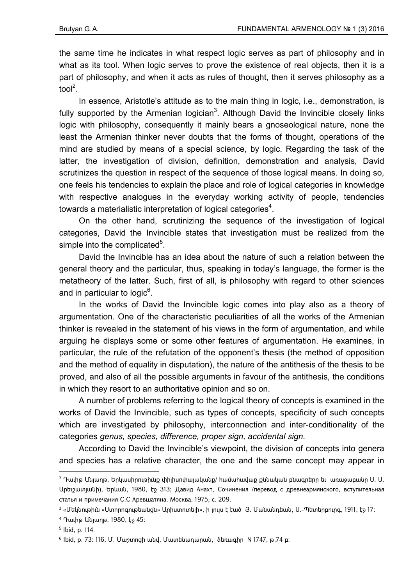the same time he indicates in what respect logic serves as part of philosophy and in what as its tool. When logic serves to prove the existence of real objects, then it is a part of philosophy, and when it acts as rules of thought, then it serves philosophy as a tool<sup>2</sup>.

In essence, Aristotle's attitude as to the main thing in logic, i.e., demonstration, is fully supported by the Armenian logician<sup>3</sup>. Although David the Invincible closely links logic with philosophy, consequently it mainly bears a gnoseological nature, none the least the Armenian thinker never doubts that the forms of thought, operations of the mind are studied by means of a special science, by logic. Regarding the task of the latter, the investigation of division, definition, demonstration and analysis, David scrutinizes the question in respect of the sequence of those logical means. In doing so, one feels his tendencies to explain the place and role of logical categories in knowledge with respective analogues in the everyday working activity of people, tendencies towards a materialistic interpretation of logical categories<sup>4</sup>.

On the other hand, scrutinizing the sequence of the investigation of logical categories, David the Invincible states that investigation must be realized from the simple into the complicated $5$ .

David the Invincible has an idea about the nature of such a relation between the general theory and the particular, thus, speaking in today's language, the former is the metatheory of the latter. Such, first of all, is philosophy with regard to other sciences and in particular to logic $^6$ .

In the works of David the Invincible logic comes into play also as a theory of argumentation. One of the characteristic peculiarities of all the works of the Armenian thinker is revealed in the statement of his views in the form of argumentation, and while arguing he displays some or some other features of argumentation. He examines, in particular, the rule of the refutation of the opponent's thesis (the method of opposition and the method of equality in disputation), the nature of the antithesis of the thesis to be proved, and also of all the possible arguments in favour of the antithesis, the conditions in which they resort to an authoritative opinion and so on.

A number of problems referring to the logical theory of concepts is examined in the works of David the Invincible, such as types of concepts, specificity of such concepts which are investigated by philosophy, interconnection and inter-conditionality of the categories *genus, species, difference, proper sign, accidental sign.*

According to David the Invincible's viewpoint, the division of concepts into genera and species has a relative character, the one and the same concept may appear in

1

<sup>2</sup> Դաւիթ Անյաղթ, Երկասիրութիւնք փիլիսոփայականք/ համահավաք քննական բնագրերը եւ առաջաբանը Ս. Ս. Արեւշատյանի), Երևան, 1980, էջ 313; Давид Анахт, Сочинения /перевод с древнеармянского, вступительная статья и примечания С.С Аревшатяна. Москва, 1975, с. 209.

<sup>3 «</sup>Մեկնութիւն «Ստորոգութեանցն» Արիստոտելի», ի լույս է էած Յ. Մանանդեան, Ս.-Պետերբուրգ, 1911, էջ 17:

<sup>4</sup> Դաւիթ Անյաղթ, 1980, էջ 45:

<sup>5</sup> Ibid, p. 114.

 $6$  Ibid, p. 73: 116, U. Մաշտոցի անվ. Մատենադարան, ձեռագիր N 1747, թ.74 p: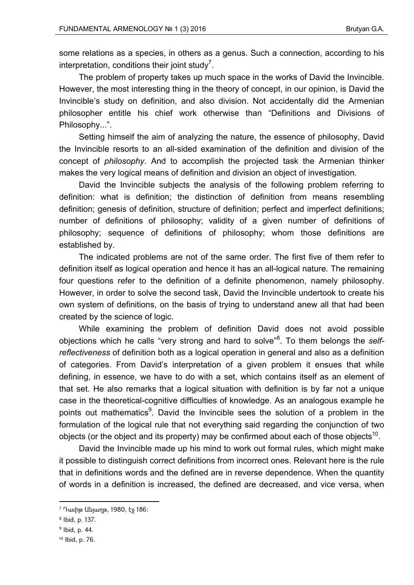some relations as a species, in others as a genus. Such a connection, according to his interpretation, conditions their joint study<sup>7</sup>.

The problem of property takes up much space in the works of David the Invincible. However, the most interesting thing in the theory of concept, in our opinion, is David the Invincible's study on definition, and also division. Not accidentally did the Armenian philosopher entitle his chief work otherwise than "Definitions and Divisions of Philosophy...".

Setting himself the aim of analyzing the nature, the essence of philosophy, David the Invincible resorts to an all-sided examination of the definition and division of the concept of *philosophy.* And to accomplish the projected task the Armenian thinker makes the very logical means of definition and division an object of investigation.

David the Invincible subjects the analysis of the following problem referring to definition: what is definition; the distinction of definition from means resembling definition; genesis of definition, structure of definition; perfect and imperfect definitions; number of definitions of philosophy; validity of a given number of definitions of philosophy; sequence of definitions of philosophy; whom those definitions are established by.

The indicated problems are not of the same order. The first five of them refer to definition itself as logical operation and hence it has an all-logical nature. The remaining four questions refer to the definition of a definite phenomenon, namely philosophy. However, in order to solve the second task, David the Invincible undertook to create his own system of definitions, on the basis of trying to understand anew all that had been created by the science of logic.

While examining the problem of definition David does not avoid possible objections which he calls "very strong and hard to solve"<sup>8</sup> . To them belongs the *selfreflectiveness* of definition both as a logical operation in general and also as a definition of categories. From David's interpretation of a given problem it ensues that while defining, in essence, we have to do with a set, which contains itself as an element of that set. He also remarks that a logical situation with definition is by far not a unique case in the theoretical-cognitive difficulties of knowledge. As an analogous example he points out mathematics<sup>9</sup>. David the Invincible sees the solution of a problem in the formulation of the logical rule that not everything said regarding the conjunction of two objects (or the object and its property) may be confirmed about each of those objects<sup>10</sup>.

David the Invincible made up his mind to work out formal rules, which might make it possible to distinguish correct definitions from incorrect ones. Relevant here is the rule that in definitions words and the defined are in reverse dependence. When the quantity of words in a definition is increased, the defined are decreased, and vice versa, when

 $\overline{a}$ 

<sup>&</sup>lt;sup>7</sup> Դաւիթ Անյաղթ, 1980, էջ 186։

<sup>8</sup> Ibid, p. 137.

<sup>&</sup>lt;sup>9</sup> Ibid, p. 44.

<sup>10</sup> Ibid, p. 76.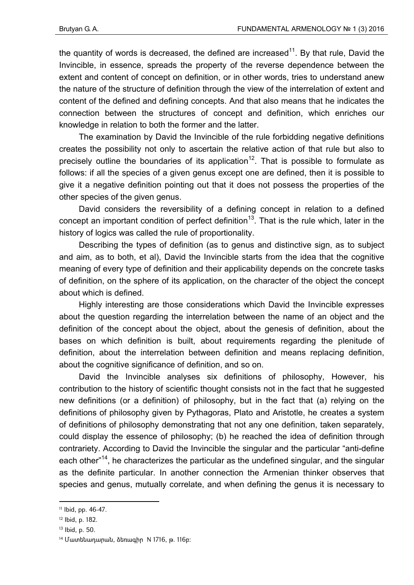the quantity of words is decreased, the defined are increased<sup>11</sup>. By that rule, David the Invincible, in essence, spreads the property of the reverse dependence between the extent and content of concept on definition, or in other words, tries to understand anew the nature of the structure of definition through the view of the interrelation of extent and content of the defined and defining concepts. And that also means that he indicates the connection between the structures of concept and definition, which enriches our knowledge in relation to both the former and the latter.

The examination by David the Invincible of the rule forbidding negative definitions creates the possibility not only to ascertain the relative action of that rule but also to precisely outline the boundaries of its application<sup>12</sup>. That is possible to formulate as follows: if all the species of a given genus except one are defined, then it is possible to give it a negative definition pointing out that it does not possess the properties of the other species of the given genus.

David considers the reversibility of a defining concept in relation to a defined concept an important condition of perfect definition<sup>13</sup>. That is the rule which, later in the history of logics was called the rule of proportionality.

Describing the types of definition (as to genus and distinctive sign, as to subject and aim, as to both, et al), David the Invincible starts from the idea that the cognitive meaning of every type of definition and their applicability depends on the concrete tasks of definition, on the sphere of its application, on the character of the object the concept about which is defined.

Highly interesting are those considerations which David the Invincible expresses about the question regarding the interrelation between the name of an object and the definition of the concept about the object, about the genesis of definition, about the bases on which definition is built, about requirements regarding the plenitude of definition, about the interrelation between definition and means replacing definition, about the cognitive significance of definition, and so on.

David the Invincible analyses six definitions of philosophy, However, his contribution to the history of scientific thought consists not in the fact that he suggested new definitions (or a definition) of philosophy, but in the fact that (a) relying on the definitions of philosophy given by Pythagoras, Plato and Aristotle, he creates a system of definitions of philosophy demonstrating that not any one definition, taken separately, could display the essence of philosophy; (b) he reached the idea of definition through contrariety. According to David the Invincible the singular and the particular "anti-define each other<sup>"14</sup>, he characterizes the particular as the undefined singular, and the singular as the definite particular. In another connection the Armenian thinker observes that species and genus, mutually correlate, and when defining the genus it is necessary to

 $\overline{a}$ 

<sup>11</sup> Ibid, pp. 46-47.

<sup>12</sup> Ibid, p. 182.

<sup>13</sup> Ibid, p. 50.

<sup>14</sup> Մատենադարան, ձեռագիր N 1716, թ. 116բ: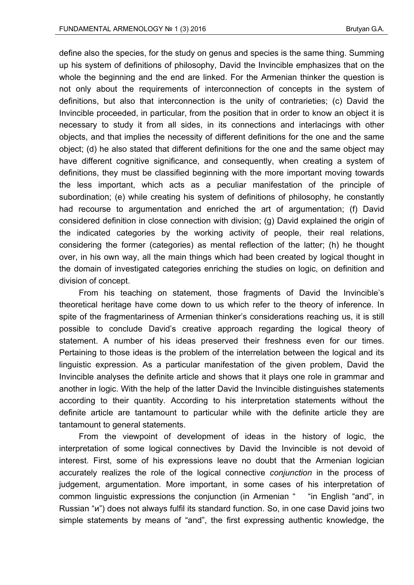define also the species, for the study on genus and species is the same thing. Summing up his system of definitions of philosophy, David the Invincible emphasizes that on the whole the beginning and the end are linked. For the Armenian thinker the question is not only about the requirements of interconnection of concepts in the system of definitions, but also that interconnection is the unity of contrarieties; (c) David the Invincible proceeded, in particular, from the position that in order to know an object it is necessary to study it from all sides, in its connections and interlacings with other objects, and that implies the necessity of different definitions for the one and the same object; (d) he also stated that different definitions for the one and the same object may have different cognitive significance, and consequently, when creating a system of definitions, they must be classified beginning with the more important moving towards the less important, which acts as a peculiar manifestation of the principle of subordination; (e) while creating his system of definitions of philosophy, he constantly had recourse to argumentation and enriched the art of argumentation; (f) David considered definition in close connection with division; (g) David explained the origin of the indicated categories by the working activity of people, their real relations, considering the former (categories) as mental reflection of the latter; (h) he thought over, in his own way, all the main things which had been created by logical thought in the domain of investigated categories enriching the studies on logic, on definition and division of concept.

From his teaching on statement, those fragments of David the Invincible's theoretical heritage have come down to us which refer to the theory of inference. In spite of the fragmentariness of Armenian thinker's considerations reaching us, it is still possible to conclude David's creative approach regarding the logical theory of statement. A number of his ideas preserved their freshness even for our times. Pertaining to those ideas is the problem of the interrelation between the logical and its linguistic expression. As a particular manifestation of the given problem, David the Invincible analyses the definite article and shows that it plays one role in grammar and another in logic. With the help of the latter David the Invincible distinguishes statements according to their quantity. According to his interpretation statements without the definite article are tantamount to particular while with the definite article they are tantamount to general statements.

From the viewpoint of development of ideas in the history of logic, the interpretation of some logical connectives by David the Invincible is not devoid of interest. First, some of his expressions leave no doubt that the Armenian logician accurately realizes the role of the logical connective *conjunction* in the process of judgement, argumentation. More important, in some cases of his interpretation of common linguistic expressions the conjunction (in Armenian " "in English "and", in Russian "и") does not always fulfil its standard function. So, in one case David joins two simple statements by means of "and", the first expressing authentic knowledge, the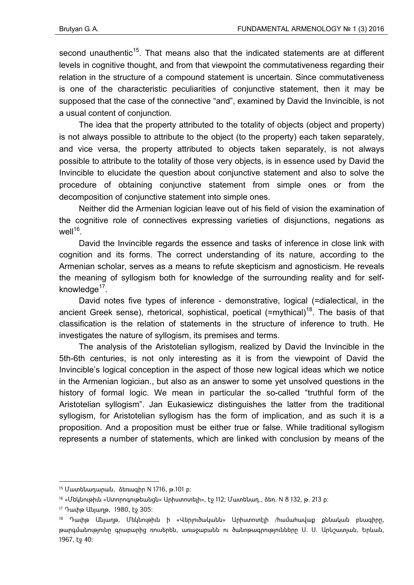second unauthentic<sup>15</sup>. That means also that the indicated statements are at different levels in cognitive thought, and from that viewpoint the commutativeness regarding their relation in the structure of a compound statement is uncertain. Since commutativeness is one of the characteristic peculiarities of conjunctive statement, then it may be supposed that the case of the connective "and", examined by David the Invincible, is not a usual content of conjunction.

The idea that the property attributed to the totality of objects (object and property) is not always possible to attribute to the object (to the property) each taken separately, and vice versa, the property attributed to objects taken separately, is not always possible to attribute to the totality of those very objects, is in essence used by David the Invincible to elucidate the question about conjunctive statement and also to solve the procedure of obtaining conjunctive statement from simple ones or from the decomposition of conjunctive statement into simple ones.

Neither did the Armenian logician leave out of his field of vision the examination of the cognitive role of connectives expressing varieties of disjunctions, negations as well $16$ .

David the Invincible regards the essence and tasks of inference in close link with cognition and its forms. The correct understanding of its nature, according to the Armenian scholar, serves as a means to refute skepticism and agnosticism. He reveals the meaning of syllogism both for knowledge of the surrounding reality and for selfknowledge<sup>17</sup>.

David notes five types of inference - demonstrative, logical (=dialectical, in the ancient Greek sense), rhetorical, sophistical, poetical  $(=mythical)<sup>18</sup>$ . The basis of that classification is the relation of statements in the structure of inference to truth. He investigates the nature of syllogism, its premises and terms.

The analysis of the Aristotelian syllogism, realized by David the Invincible in the 5th-6th centuries, is not only interesting as it is from the viewpoint of David the Invincible's logical conception in the aspect of those new logical ideas which we notice in the Armenian logician., but also as an answer to some yet unsolved questions in the history of formal logic. We mean in particular the so-called "truthful form of the Aristotelian syllogism". Jan Eukasiewicz distinguishes the latter from the traditional syllogism, for Aristotelian syllogism has the form of implication, and as such it is a proposition. And a proposition must be either true or false. While traditional syllogism represents a number of statements, which are linked with conclusion by means of the

<sup>15</sup> Մատենադարան, ձեռագիր N 1716, թ.101 բ:

<sup>16 «</sup>Մեկնութիւն «Ստորոգութեանցն» Արիստոտելի», էջ 112; Մատենադ., ձեռ. N 8 132, թ. 213 բ:

<sup>17</sup> Դաւիթ Անյաղթ, 1980, էջ 305:

<sup>18</sup> Դաւիթ Անյաղթ, Մեկնութիւն ի «Վերլուծականն» Արիստոտէլի /համահավաք քննական բնագիրը, թարգմանությունը գրաբարից ռուսերեն, առաջաբանն ու ծանոթագրությունները Ս. Ս. Արևշատյան, Երևան, 1967, էջ 40: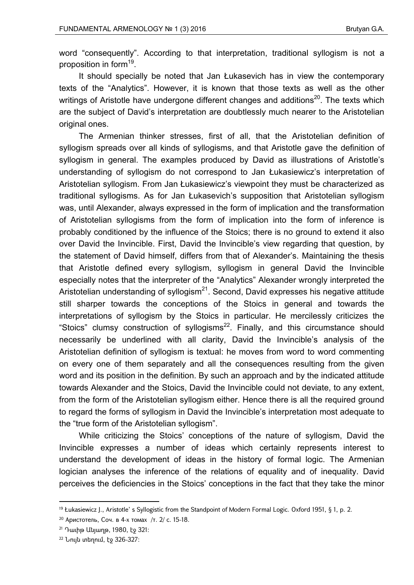word "consequently". According to that interpretation, traditional syllogism is not a proposition in form<sup>19</sup>.

It should specially be noted that Jan Łukasevich has in view the contemporary texts of the "Analytics". However, it is known that those texts as well as the other writings of Aristotle have undergone different changes and additions<sup>20</sup>. The texts which are the subject of David's interpretation are doubtlessly much nearer to the Aristotelian original ones.

The Armenian thinker stresses, first of all, that the Aristotelian definition of syllogism spreads over all kinds of syllogisms, and that Aristotle gave the definition of syllogism in general. The examples produced by David as illustrations of Aristotle's understanding of syllogism do not correspond to Jan Łukasiewicz's interpretation of Aristotelian syllogism. From Jan Łukasiewicz's viewpoint they must be characterized as traditional syllogisms. As for Jan Łukasevich's supposition that Aristotelian syllogism was, until Alexander, always expressed in the form of implication and the transformation of Aristotelian syllogisms from the form of implication into the form of inference is probably conditioned by the influence of the Stoics; there is no ground to extend it also over David the Invincible. First, David the Invincible's view regarding that question, by the statement of David himself, differs from that of Alexander's. Maintaining the thesis that Aristotle defined every syllogism, syllogism in general David the Invincible especially notes that the interpreter of the "Analytics" Alexander wrongly interpreted the Aristotelian understanding of syllogism $^{21}$ . Second, David expresses his negative attitude still sharper towards the conceptions of the Stoics in general and towards the interpretations of syllogism by the Stoics in particular. He mercilessly criticizes the "Stoics" clumsy construction of syllogisms $^{22}$ . Finally, and this circumstance should necessarily be underlined with all clarity, David the Invincible's analysis of the Aristotelian definition of syllogism is textual: he moves from word to word commenting on every one of them separately and all the consequences resulting from the given word and its position in the definition. By such an approach and by the indicated attitude towards Alexander and the Stoics, David the Invincible could not deviate, to any extent, from the form of the Aristotelian syllogism either. Hence there is all the required ground to regard the forms of syllogism in David the Invincible's interpretation most adequate to the "true form of the Aristotelian syllogism".

While criticizing the Stoics' conceptions of the nature of syllogism, David the Invincible expresses a number of ideas which certainly represents interest to understand the development of ideas in the history of formal logic. The Armenian logician analyses the inference of the relations of equality and of inequality. David perceives the deficiencies in the Stoics' conceptions in the fact that they take the minor

 $\overline{a}$ 

<sup>&</sup>lt;sup>19</sup> Łukasiewicz J., Aristotle's Syllogistic from the Standpoint of Modern Formal Logic. Oxford 1951, § 1, p. 2.

<sup>20</sup> Аристотель, Соч. в 4-х томах /т. 2/ с. 15-18.

<sup>21</sup> Դաւիթ Անյաղթ, 1980, էջ 321:

<sup>22</sup> Նույն տեղում, էջ 326-327: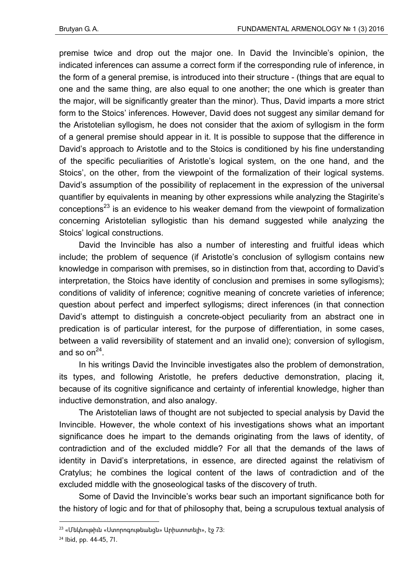premise twice and drop out the major one. In David the Invincible's opinion, the indicated inferences can assume a correct form if the corresponding rule of inference, in the form of a general premise, is introduced into their structure - (things that are equal to one and the same thing, are also equal to one another; the one which is greater than the major, will be significantly greater than the minor). Thus, David imparts a more strict form to the Stoics' inferences. However, David does not suggest any similar demand for the Aristotelian syllogism, he does not consider that the axiom of syllogism in the form of a general premise should appear in it. It is possible to suppose that the difference in David's approach to Aristotle and to the Stoics is conditioned by his fine understanding of the specific peculiarities of Aristotle's logical system, on the one hand, and the Stoics', on the other, from the viewpoint of the formalization of their logical systems. David's assumption of the possibility of replacement in the expression of the universal quantifier by equivalents in meaning by other expressions while analyzing the Stagirite's conceptions<sup>23</sup> is an evidence to his weaker demand from the viewpoint of formalization concerning Aristotelian syllogistic than his demand suggested while analyzing the Stoics' logical constructions.

David the Invincible has also a number of interesting and fruitful ideas which include; the problem of sequence (if Aristotle's conclusion of syllogism contains new knowledge in comparison with premises, so in distinction from that, according to David's interpretation, the Stoics have identity of conclusion and premises in some syllogisms); conditions of validity of inference; cognitive meaning of concrete varieties of inference; question about perfect and imperfect syllogisms; direct inferences (in that connection David's attempt to distinguish a concrete-object peculiarity from an abstract one in predication is of particular interest, for the purpose of differentiation, in some cases, between a valid reversibility of statement and an invalid one); conversion of syllogism, and so on<sup>24</sup>.

In his writings David the Invincible investigates also the problem of demonstration, its types, and following Aristotle, he prefers deductive demonstration, placing it, because of its cognitive significance and certainty of inferential knowledge, higher than inductive demonstration, and also analogy.

The Aristotelian laws of thought are not subjected to special analysis by David the Invincible. However, the whole context of his investigations shows what an important significance does he impart to the demands originating from the laws of identity, of contradiction and of the excluded middle? For all that the demands of the laws of identity in David's interpretations, in essence, are directed against the relativism of Cratylus; he combines the logical content of the laws of contradiction and of the excluded middle with the gnoseological tasks of the discovery of truth.

Some of David the Invincible's works bear such an important significance both for the history of logic and for that of philosophy that, being a scrupulous textual analysis of

<sup>23 «</sup>Մեկնութիւն «Ստորոգութեանցն» Արիստոտելի», էջ 73:

<sup>24</sup> Ibid, pp. 44-45, 71.